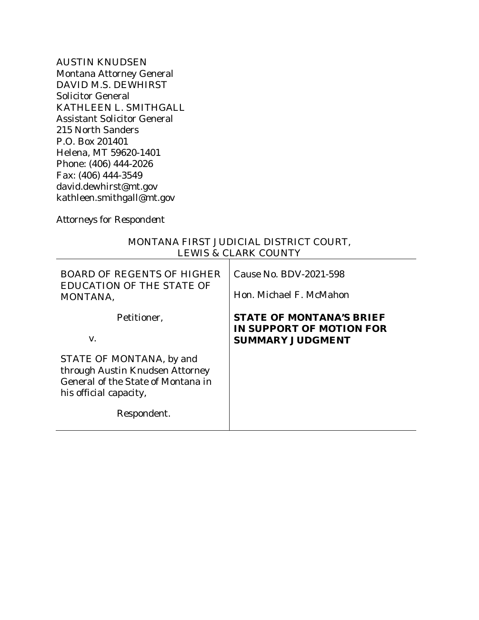AUSTIN KNUDSEN Montana Attorney General DAVID M.S. DEWHIRST Solicitor General KATHLEEN L. SMITHGALL Assistant Solicitor General 215 North Sanders P.O. Box 201401 Helena, MT 59620-1401 Phone: (406) 444-2026 Fax: (406) 444-3549 david.dewhirst@mt.gov kathleen.smithgall@mt.gov

*Attorneys for Respondent*

| <b>LEWIS &amp; CLARK COUNTY</b>                                                                                                            |                                                                                        |  |  |  |
|--------------------------------------------------------------------------------------------------------------------------------------------|----------------------------------------------------------------------------------------|--|--|--|
| <b>BOARD OF REGENTS OF HIGHER</b><br><b>EDUCATION OF THE STATE OF</b><br>MONTANA,                                                          | Cause No. BDV-2021-598<br>Hon. Michael F. McMahon                                      |  |  |  |
| Petitioner,<br>V.                                                                                                                          | <b>STATE OF MONTANA'S BRIEF</b><br>IN SUPPORT OF MOTION FOR<br><b>SUMMARY JUDGMENT</b> |  |  |  |
| STATE OF MONTANA, by and<br>through Austin Knudsen Attorney<br>General of the State of Montana in<br>his official capacity,<br>Respondent. |                                                                                        |  |  |  |

# MONTANA FIRST JUDICIAL DISTRICT COURT,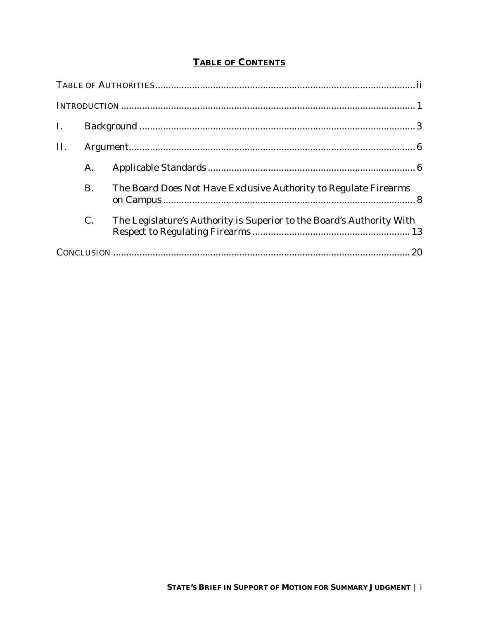## **TABLE OF CONTENTS**

| $\mathbf{I}$ . |           |                                                                       |  |
|----------------|-----------|-----------------------------------------------------------------------|--|
| II.            |           |                                                                       |  |
|                | A.        |                                                                       |  |
|                | <b>B.</b> | The Board Does Not Have Exclusive Authority to Regulate Firearms      |  |
|                | C.        | The Legislature's Authority is Superior to the Board's Authority With |  |
|                |           |                                                                       |  |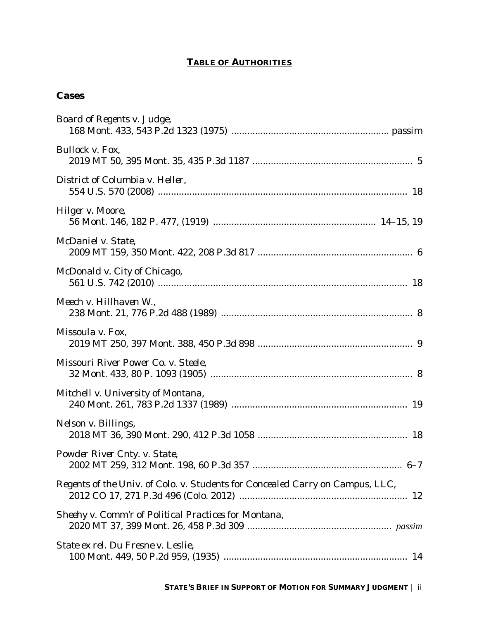## **TABLE OF AUTHORITIES**

# **Cases**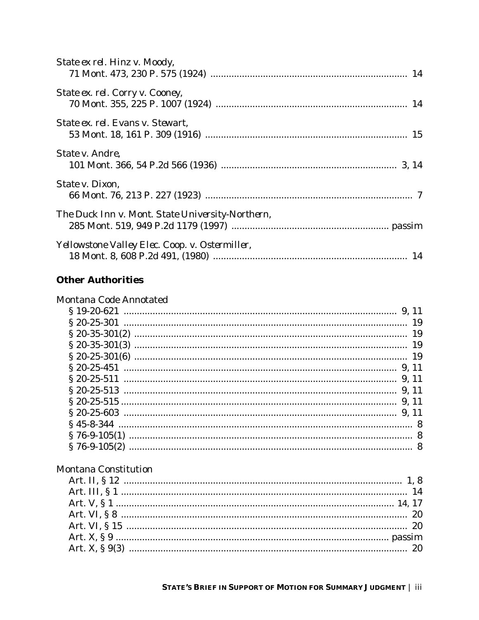| State ex rel. Hinz v. Moody,                     |  |
|--------------------------------------------------|--|
| State ex. rel. Corry v. Cooney,                  |  |
| State ex. rel. Evans v. Stewart,                 |  |
| <i>State v. Andre,</i>                           |  |
| State v. Dixon,                                  |  |
| The Duck Inn v. Mont. State University-Northern, |  |
| Yellowstone Valley Elec. Coop. v. Ostermiller,   |  |

# **Other Authorities**

| Montana Code Annotated      |  |
|-----------------------------|--|
|                             |  |
|                             |  |
|                             |  |
|                             |  |
|                             |  |
|                             |  |
|                             |  |
|                             |  |
|                             |  |
|                             |  |
|                             |  |
|                             |  |
|                             |  |
| <b>Montana Constitution</b> |  |
|                             |  |
|                             |  |
|                             |  |
|                             |  |
|                             |  |
|                             |  |
|                             |  |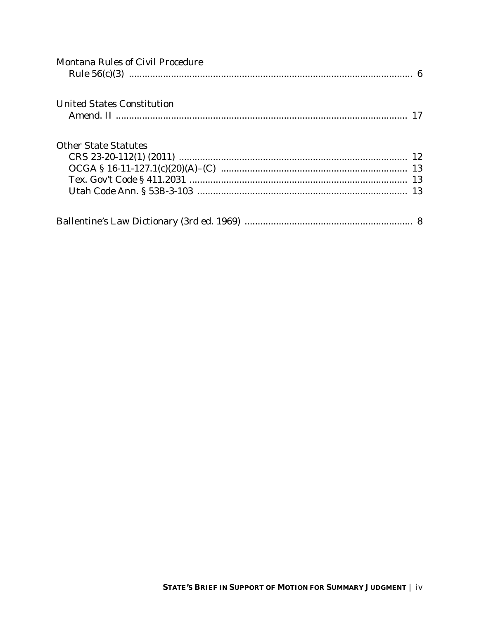| <b>Montana Rules of Civil Procedure</b> |  |
|-----------------------------------------|--|
|                                         |  |
| <b>United States Constitution</b>       |  |
| <b>Other State Statutes</b>             |  |
|                                         |  |
|                                         |  |
|                                         |  |
|                                         |  |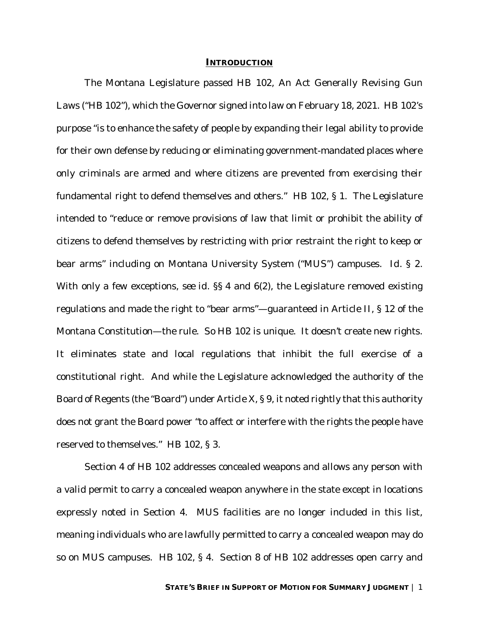#### **INTRODUCTION**

The Montana Legislature passed HB 102, An Act Generally Revising Gun Laws ("HB 102"), which the Governor signed into law on February 18, 2021. HB 102's purpose "is to enhance the safety of people by expanding their legal ability to provide for their own defense by reducing or eliminating government-mandated places where only criminals are armed and where citizens are prevented from exercising their fundamental right to defend themselves and others." HB 102, § 1. The Legislature intended to "reduce or remove provisions of law that limit or prohibit the ability of citizens to defend themselves by restricting with prior restraint the right to keep or bear arms" including on Montana University System ("MUS") campuses. *Id.* § 2. With only a few exceptions, *see id.* §§ 4 and 6(2), the Legislature removed existing regulations and made the right to "bear arms"—guaranteed in Article II, § 12 of the Montana Constitution—the rule. So HB 102 is unique. It doesn't create new rights. It eliminates state and local regulations that inhibit the full exercise of a constitutional right. And while the Legislature acknowledged the authority of the Board of Regents (the "Board") under Article X, § 9, it noted rightly that this authority does not grant the Board power "to affect or interfere with the rights the people have reserved to themselves." HB 102, § 3.

Section 4 of HB 102 addresses concealed weapons and allows any person with a valid permit to carry a concealed weapon anywhere in the state except in locations expressly noted in Section 4. MUS facilities are no longer included in this list, meaning individuals who are lawfully permitted to carry a concealed weapon may do so on MUS campuses. HB 102, § 4. Section 8 of HB 102 addresses open carry and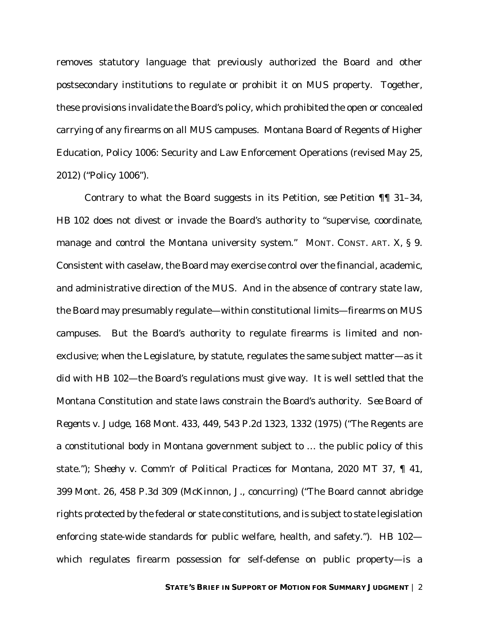removes statutory language that previously authorized the Board and other postsecondary institutions to regulate or prohibit it on MUS property. Together, these provisions invalidate the Board's policy, which prohibited the open or concealed carrying of any firearms on all MUS campuses. Montana Board of Regents of Higher Education, Policy 1006: Security and Law Enforcement Operations (revised May 25, 2012) ("Policy 1006").

Contrary to what the Board suggests in its Petition, *see* Petition ¶¶ 31–34, HB 102 does not divest or invade the Board's authority to "supervise, coordinate, manage and control the Montana university system." MONT. CONST. ART. X, § 9. Consistent with caselaw, the Board may exercise control over the financial, academic, and administrative direction of the MUS. And in the absence of contrary state law, the Board may presumably regulate—within constitutional limits—firearms on MUS campuses. But the Board's authority to regulate firearms is limited and nonexclusive; when the Legislature, by statute, regulates the same subject matter—as it did with HB 102—the Board's regulations must give way. It is well settled that the Montana Constitution and state laws constrain the Board's authority. *See Board of Regents v. Judge*, 168 Mont. 433, 449, 543 P.2d 1323, 1332 (1975) ("The Regents are a constitutional body in Montana government subject to … the public policy of this state."); *Sheehy v. Comm'r of Political Practices for Montana*, 2020 MT 37, ¶ 41, 399 Mont. 26, 458 P.3d 309 (McKinnon, J., concurring) ("The Board cannot abridge rights protected by the federal or state constitutions, and is subject to state legislation enforcing state-wide standards for public welfare, health, and safety."). HB 102 which regulates firearm possession for self-defense on public property—is a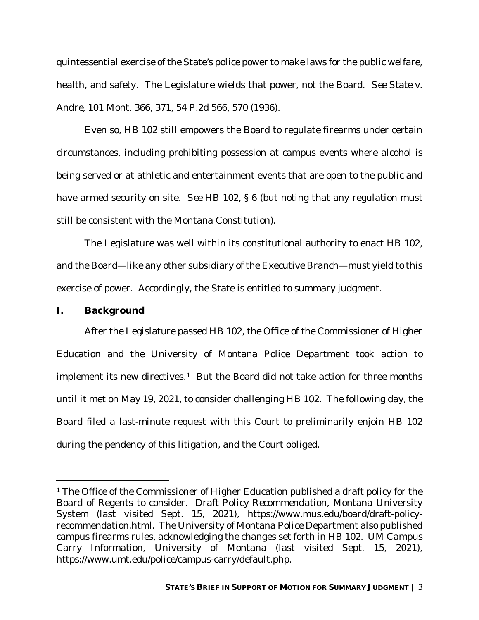quintessential exercise of the State's police power to make laws for the public welfare, health, and safety. The Legislature wields that power, not the Board. *See State v. Andre*, 101 Mont. 366, 371, 54 P.2d 566, 570 (1936).

Even so, HB 102 still empowers the Board to regulate firearms under certain circumstances, including prohibiting possession at campus events where alcohol is being served or at athletic and entertainment events that are open to the public and have armed security on site. *See* HB 102, § 6 (but noting that any regulation must still be consistent with the Montana Constitution).

The Legislature was well within its constitutional authority to enact HB 102, and the Board—like any other subsidiary of the Executive Branch—must yield to this exercise of power. Accordingly, the State is entitled to summary judgment.

## **I. Background**

After the Legislature passed HB 102, the Office of the Commissioner of Higher Education and the University of Montana Police Department took action to implement its new directives.<sup>1</sup> But the Board did not take action for three months until it met on May 19, 2021, to consider challenging HB 102. The following day, the Board filed a last-minute request with this Court to preliminarily enjoin HB 102 during the pendency of this litigation, and the Court obliged.

<sup>1</sup> The Office of the Commissioner of Higher Education published a draft policy for the Board of Regents to consider. *Draft Policy Recommendation*, Montana University System (last visited Sept. 15, 2021), https://www.mus.edu/board/draft-policyrecommendation.html. The University of Montana Police Department also published campus firearms rules, acknowledging the changes set forth in HB 102. *UM Campus Carry Information*, University of Montana (last visited Sept. 15, 2021), https://www.umt.edu/police/campus-carry/default.php.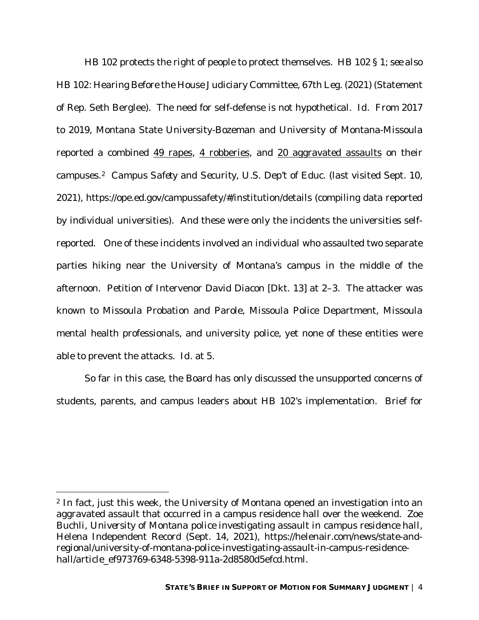HB 102 protects the right of people to protect themselves. HB 102 § 1; *see also*  HB 102: Hearing Before the House Judiciary Committee, 67th Leg. (2021) (Statement of Rep. Seth Berglee). The need for self-defense is not hypothetical. *Id.* From 2017 to 2019, Montana State University-Bozeman and University of Montana-Missoula reported a combined 49 rapes, 4 robberies, and 20 aggravated assaults on their campuses.2 *Campus Safety and Security*, U.S. Dep't of Educ. (last visited Sept. 10, 2021), https://ope.ed.gov/campussafety/#/institution/details (compiling data reported by individual universities). And these were only the incidents the universities selfreported. One of these incidents involved an individual who assaulted two separate parties hiking near the University of Montana's campus in the middle of the afternoon. Petition of Intervenor David Diacon [Dkt. 13] at 2–3. The attacker was known to Missoula Probation and Parole, Missoula Police Department, Missoula mental health professionals, and university police, yet none of these entities were able to prevent the attacks. *Id.* at 5.

So far in this case, the Board has only discussed the unsupported concerns of students, parents, and campus leaders about HB 102's implementation. Brief for

<sup>2</sup> In fact, just this week, the University of Montana opened an investigation into an aggravated assault that occurred in a campus residence hall over the weekend. Zoe Buchli, *University of Montana police investigating assault in campus residence hall*, Helena Independent Record (Sept. 14, 2021), https://helenair.com/news/state-andregional/university-of-montana-police-investigating-assault-in-campus-residencehall/article\_ef973769-6348-5398-911a-2d8580d5efcd.html.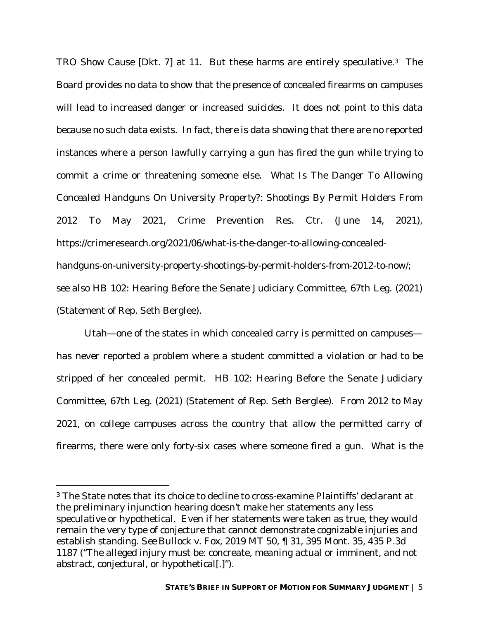TRO Show Cause [Dkt. 7] at 11. But these harms are entirely speculative.3 The Board provides no data to show that the presence of concealed firearms on campuses will lead to increased danger or increased suicides. It does not point to this data because no such data exists. In fact, there is data showing that there are no reported instances where a person lawfully carrying a gun has fired the gun while trying to commit a crime or threatening someone else. *What Is The Danger To Allowing Concealed Handguns On University Property?: Shootings By Permit Holders From 2012 To May 2021*, Crime Prevention Res. Ctr. (June 14, 2021), https://crimeresearch.org/2021/06/what-is-the-danger-to-allowing-concealedhandguns-on-university-property-shootings-by-permit-holders-from-2012-to-now/; *see also* HB 102: Hearing Before the Senate Judiciary Committee, 67th Leg. (2021) (Statement of Rep. Seth Berglee).

Utah—one of the states in which concealed carry is permitted on campuses has never reported a problem where a student committed a violation or had to be stripped of her concealed permit. HB 102: Hearing Before the Senate Judiciary Committee, 67th Leg. (2021) (Statement of Rep. Seth Berglee). From 2012 to May 2021, on college campuses across the country that allow the permitted carry of firearms, there were only forty-six cases where someone fired a gun. *What is the* 

<sup>3</sup> The State notes that its choice to decline to cross-examine Plaintiffs' declarant at the preliminary injunction hearing doesn't make her statements any less speculative or hypothetical. Even if her statements were taken as true, they would remain the very type of conjecture that cannot demonstrate cognizable injuries and establish standing. *See Bullock v. Fox*, 2019 MT 50, ¶ 31, 395 Mont. 35, 435 P.3d 1187 ("The alleged injury must be: concreate, meaning actual or imminent, and not abstract, conjectural, or hypothetical[.]").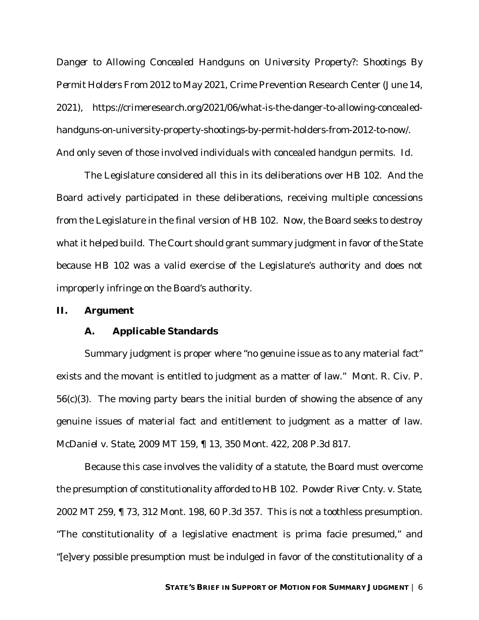*Danger to Allowing Concealed Handguns on University Property?: Shootings By Permit Holders From 2012 to May 2021*, Crime Prevention Research Center (June 14, 2021), https://crimeresearch.org/2021/06/what-is-the-danger-to-allowing-concealedhandguns-on-university-property-shootings-by-permit-holders-from-2012-to-now/. And only seven of those involved individuals with concealed handgun permits. *Id.*

The Legislature considered all this in its deliberations over HB 102. And the Board actively participated in these deliberations, receiving multiple concessions from the Legislature in the final version of HB 102. Now, the Board seeks to destroy what it helped build. The Court should grant summary judgment in favor of the State because HB 102 was a valid exercise of the Legislature's authority and does not improperly infringe on the Board's authority.

#### **II. Argument**

#### **A. Applicable Standards**

Summary judgment is proper where "no genuine issue as to any material fact" exists and the movant is entitled to judgment as a matter of law." Mont. R. Civ. P. 56(c)(3). The moving party bears the initial burden of showing the absence of any genuine issues of material fact and entitlement to judgment as a matter of law. *McDaniel v. State*, 2009 MT 159, ¶ 13, 350 Mont. 422, 208 P.3d 817.

Because this case involves the validity of a statute, the Board must overcome the presumption of constitutionality afforded to HB 102. *Powder River Cnty. v. State*, 2002 MT 259, ¶ 73, 312 Mont. 198, 60 P.3d 357. This is not a toothless presumption. "The constitutionality of a legislative enactment is prima facie presumed," and "[e]very possible presumption must be indulged in favor of the constitutionality of a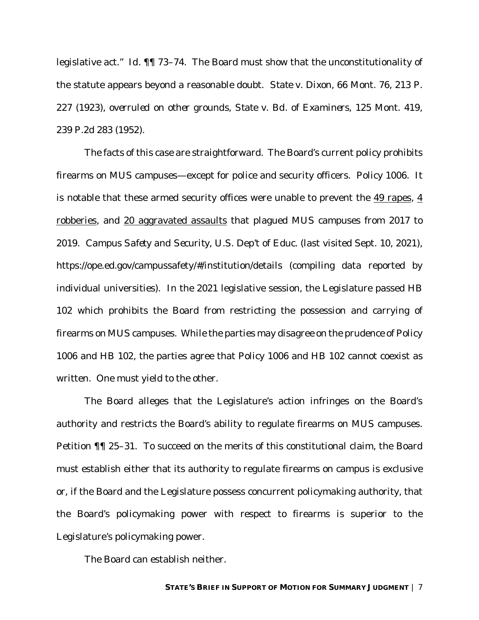legislative act." *Id.* ¶¶ 73–74. The Board must show that the unconstitutionality of the statute appears beyond a reasonable doubt. *State v. Dixon*, 66 Mont. 76, 213 P. 227 (1923), *overruled on other grounds*, *State v. Bd. of Examiners*, 125 Mont. 419, 239 P.2d 283 (1952).

The facts of this case are straightforward. The Board's current policy prohibits firearms on MUS campuses—except for police and security officers. Policy 1006. It is notable that these armed security offices were unable to prevent the 49 rapes, 4 robberies, and 20 aggravated assaults that plagued MUS campuses from 2017 to 2019. *Campus Safety and Security*, U.S. Dep't of Educ. (last visited Sept. 10, 2021), https://ope.ed.gov/campussafety/#/institution/details (compiling data reported by individual universities). In the 2021 legislative session, the Legislature passed HB 102 which prohibits the Board from restricting the possession and carrying of firearms on MUS campuses. While the parties may disagree on the prudence of Policy 1006 and HB 102, the parties agree that Policy 1006 and HB 102 cannot coexist as written. One must yield to the other.

The Board alleges that the Legislature's action infringes on the Board's authority and restricts the Board's ability to regulate firearms on MUS campuses. Petition ¶¶ 25–31. To succeed on the merits of this constitutional claim, the Board must establish either that its authority to regulate firearms on campus is exclusive *or*, if the Board and the Legislature possess concurrent policymaking authority, that the Board's policymaking power with respect to firearms is superior to the Legislature's policymaking power.

The Board can establish neither.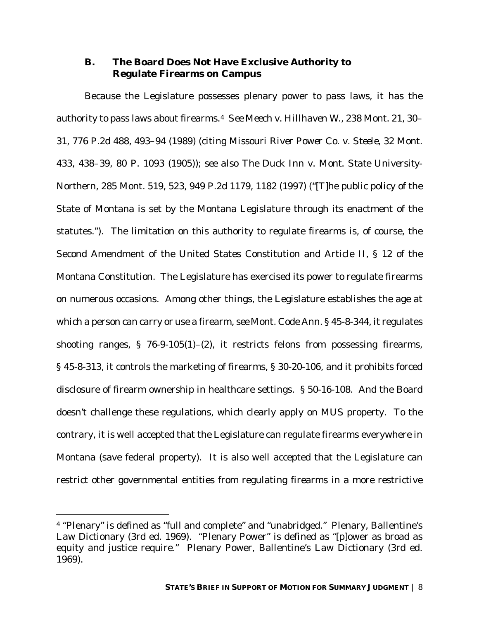## **B. The Board Does Not Have Exclusive Authority to Regulate Firearms on Campus**

Because the Legislature possesses plenary power to pass laws, it has the authority to pass laws about firearms.4 *See Meech v. Hillhaven W.*, 238 Mont. 21, 30– 31, 776 P.2d 488, 493–94 (1989) (citing *Missouri River Power Co. v. Steele*, 32 Mont. 433, 438–39, 80 P. 1093 (1905)); *see also The Duck Inn v. Mont. State University-Northern*, 285 Mont. 519, 523, 949 P.2d 1179, 1182 (1997) ("[T]he public policy of the State of Montana is set by the Montana Legislature through its enactment of the statutes.").The limitation on this authority to regulate firearms is, of course, the Second Amendment of the United States Constitution and Article II, § 12 of the Montana Constitution. The Legislature has exercised its power to regulate firearms on numerous occasions. Among other things, the Legislature establishes the age at which a person can carry or use a firearm, *see* Mont. Code Ann. § 45-8-344, it regulates shooting ranges, § 76-9-105(1)–(2), it restricts felons from possessing firearms, § 45-8-313, it controls the marketing of firearms, § 30-20-106, and it prohibits forced disclosure of firearm ownership in healthcare settings. § 50-16-108. And the Board doesn't challenge these regulations, which clearly apply on MUS property. To the contrary, it is well accepted that the Legislature can regulate firearms everywhere in Montana (save federal property). It is also well accepted that the Legislature can restrict other governmental entities from regulating firearms in a more restrictive

<sup>4 &</sup>quot;Plenary" is defined as "full and complete" and "unabridged." Plenary, Ballentine's Law Dictionary (3rd ed. 1969). "Plenary Power" is defined as "[p]ower as broad as equity and justice require." Plenary Power, Ballentine's Law Dictionary (3rd ed. 1969).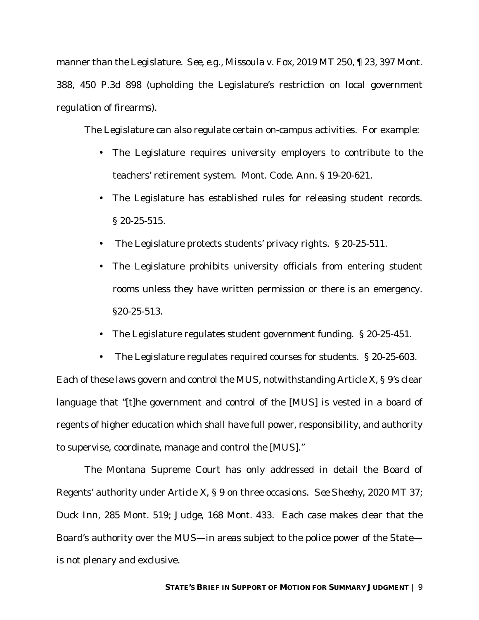manner than the Legislature. *See, e.g.,* M*issoula v. Fox,* 2019 MT 250, ¶ 23, 397 Mont. 388, 450 P.3d 898 (upholding the Legislature's restriction on local government regulation of firearms).

The Legislature can also regulate certain on-campus activities. For example:

- The Legislature requires university employers to contribute to the teachers' retirement system. Mont. Code. Ann. § 19-20-621.
- The Legislature has established rules for releasing student records. § 20-25-515.
- The Legislature protects students' privacy rights. § 20-25-511.
- $\mathbf{r}^{\mathrm{max}}$ The Legislature prohibits university officials from entering student rooms unless they have written permission or there is an emergency. §20-25-513.
- The Legislature regulates student government funding. § 20-25-451.  $\mathbf{r}$

 $\mathbf{r}$ The Legislature regulates required courses for students. § 20-25-603. Each of these laws govern and control the MUS, notwithstanding Article X, § 9's clear language that "[t]he government and control of the [MUS] is vested in a board of regents of higher education which shall have full power, responsibility, and authority to supervise, coordinate, manage and control the [MUS]."

The Montana Supreme Court has only addressed in detail the Board of Regents' authority under Article X, § 9 on three occasions. *See Sheehy*, 2020 MT 37; *Duck Inn,* 285 Mont. 519; *Judge*, 168 Mont. 433. Each case makes clear that the Board's authority over the MUS—in areas subject to the police power of the State is not plenary and exclusive.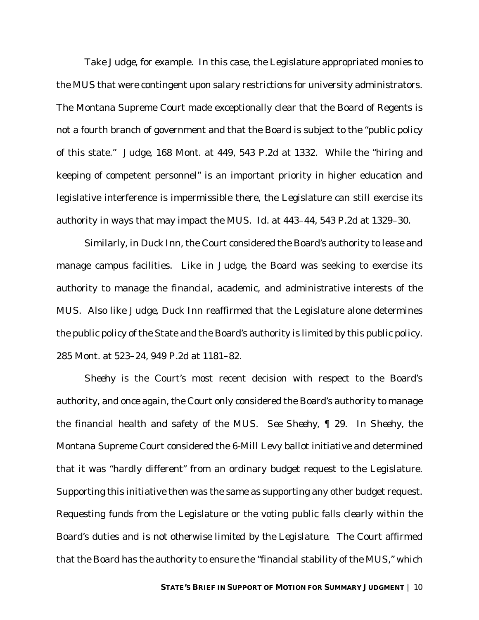Take *Judge*, for example. In this case, the Legislature appropriated monies to the MUS that were contingent upon salary restrictions for university administrators. The Montana Supreme Court made exceptionally clear that the Board of Regents is not a fourth branch of government and that the Board is subject to the "public policy of this state." *Judge*, 168 Mont. at 449, 543 P.2d at 1332. While the "hiring and keeping of competent personnel" is an important priority in higher education and legislative interference is impermissible there, the Legislature can still exercise its authority in ways that may impact the MUS. *Id.* at 443–44, 543 P.2d at 1329–30.

Similarly, in *Duck Inn*, the Court considered the Board's authority to lease and manage campus facilities. Like in *Judge*, the Board was seeking to exercise its authority to manage the *financial*, *academic*, and *administrative* interests of the MUS. Also like *Judge*, *Duck Inn* reaffirmed that the Legislature alone determines the public policy of the State and the Board's authority is limited by this public policy. 285 Mont. at 523–24, 949 P.2d at 1181–82.

*Sheehy* is the Court's most recent decision with respect to the Board's authority, and once again, the Court only considered the Board's authority to manage the *financial* health and safety of the MUS. *See Sheehy*, ¶ 29. In *Sheehy*, the Montana Supreme Court considered the 6-Mill Levy ballot initiative and determined that it was "hardly different" from an ordinary budget request to the Legislature. Supporting this initiative then was the same as supporting any other budget request. Requesting funds from the Legislature or the voting public falls clearly within the Board's duties *and is not otherwise limited by the Legislature*. The Court affirmed that the Board has the authority to ensure the "financial stability of the MUS," which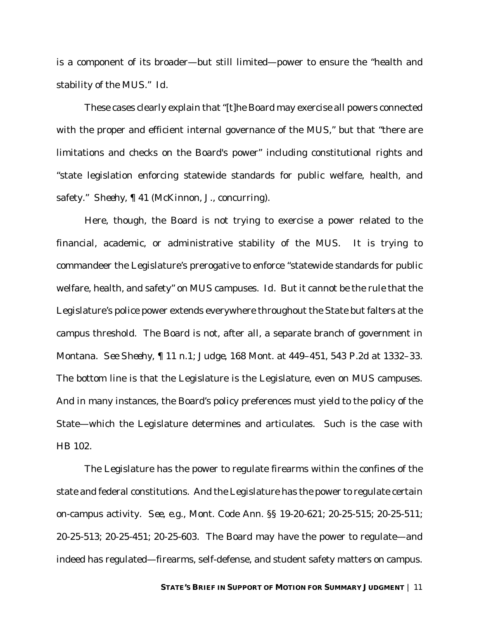is a component of its broader—but still limited—power to ensure the "health and stability of the MUS." *Id.* 

These cases clearly explain that "[t]he Board may exercise all powers connected with the proper and efficient internal governance of the MUS," but that "there are limitations and checks on the Board's power" including constitutional rights and "state legislation enforcing statewide standards for public welfare, health, and safety." *Sheehy*, ¶ 41 (McKinnon, J., concurring).

Here, though, the Board is not trying to exercise a power related to the financial, academic, or administrative stability of the MUS. It is trying to commandeer the Legislature's prerogative to enforce "statewide standards for public welfare, health, and safety" on MUS campuses. *Id.* But it cannot be the rule that the Legislature's police power extends everywhere throughout the State but falters at the campus threshold. The Board is not, after all, a separate branch of government in Montana. *See Sheehy*, ¶ 11 n.1; *Judge*, 168 Mont. at 449–451, 543 P.2d at 1332–33. The bottom line is that the Legislature is the Legislature, even on MUS campuses. And in many instances, the Board's policy preferences must yield to the policy of the State—which the Legislature determines and articulates. Such is the case with HB 102.

The Legislature has the power to regulate firearms within the confines of the state and federal constitutions. And the Legislature has the power to regulate certain on-campus activity. *See, e.g.*, Mont. Code Ann. §§ 19-20-621; 20-25-515; 20-25-511; 20-25-513; 20-25-451; 20-25-603. The Board may have the power to regulate—and indeed has regulated—firearms, self-defense, and student safety matters on campus.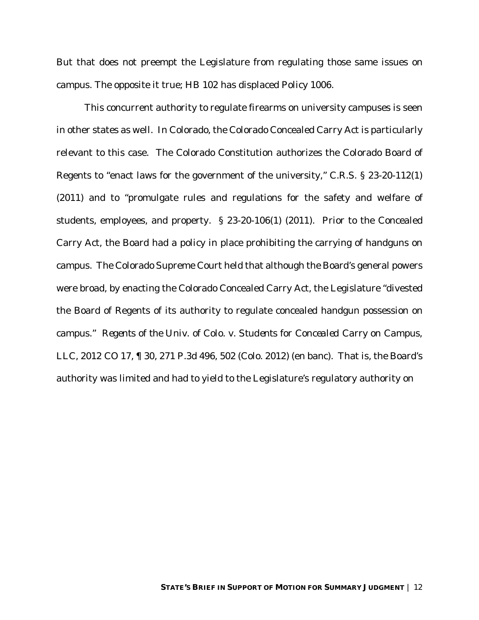But that does not preempt the Legislature from regulating those same issues on campus. The opposite it true; HB 102 has displaced Policy 1006.

This concurrent authority to regulate firearms on university campuses is seen in other states as well. In Colorado, the Colorado Concealed Carry Act is particularly relevant to this case. The Colorado Constitution authorizes the Colorado Board of Regents to "enact laws for the government of the university," C.R.S. § 23-20-112(1) (2011) and to "promulgate rules and regulations for the safety and welfare of students, employees, and property. § 23-20-106(1) (2011). Prior to the Concealed Carry Act, the Board had a policy in place prohibiting the carrying of handguns on campus. The Colorado Supreme Court held that although the Board's general powers were broad, by enacting the Colorado Concealed Carry Act, the Legislature "divested the Board of Regents of its authority to regulate concealed handgun possession on campus." *Regents of the Univ. of Colo. v. Students for Concealed Carry on Campus*, *LLC*, 2012 CO 17, 1 30, 271 P.3d 496, 502 (Colo. 2012) (en banc). That is, the Board's authority was limited and had to yield to the Legislature's regulatory authority on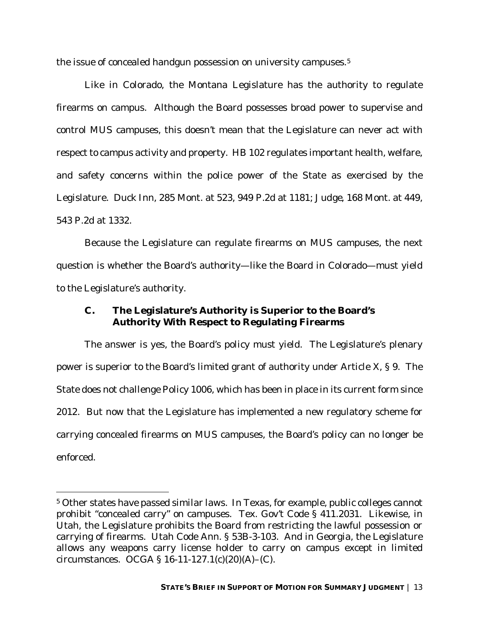the issue of concealed handgun possession on university campuses.<sup>5</sup>

Like in Colorado, the Montana Legislature has the authority to regulate firearms on campus. Although the Board possesses broad power to supervise and control MUS campuses, this doesn't mean that the Legislature can never act with respect to campus activity and property. HB 102 regulates important health, welfare, and safety concerns within the police power of the State as exercised by the Legislature. *Duck Inn*, 285 Mont. at 523, 949 P.2d at 1181; *Judge*, 168 Mont. at 449, 543 P.2d at 1332.

Because the Legislature can regulate firearms on MUS campuses, the next question is whether the Board's authority—like the Board in Colorado—must yield to the Legislature's authority.

## **C. The Legislature's Authority is Superior to the Board's Authority With Respect to Regulating Firearms**

The answer is yes, the Board's policy must yield. The Legislature's plenary power is superior to the Board's limited grant of authority under Article X, § 9. The State does not challenge Policy 1006, which has been in place in its current form since 2012. But now that the Legislature has implemented a new regulatory scheme for carrying concealed firearms on MUS campuses, the Board's policy can no longer be enforced.

<sup>5</sup> Other states have passed similar laws. In Texas, for example, public colleges cannot prohibit "concealed carry" on campuses. Tex. Gov't Code § 411.2031. Likewise, in Utah, the Legislature prohibits the Board from restricting the lawful possession or carrying of firearms. Utah Code Ann. § 53B-3-103. And in Georgia, the Legislature allows any weapons carry license holder to carry on campus except in limited circumstances. OCGA § 16-11-127.1(c)(20)(A)–(C).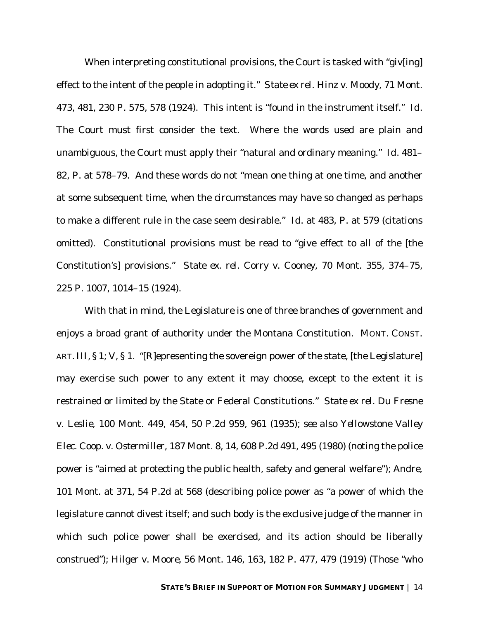When interpreting constitutional provisions, the Court is tasked with "giv[ing] effect to the intent of the people in adopting it." *State ex rel. Hinz v. Moody*, 71 Mont. 473, 481, 230 P. 575, 578 (1924). This intent is "found in the instrument itself." *Id.* The Court must first consider the text. Where the words used are plain and unambiguous, the Court must apply their "natural and ordinary meaning." *Id.* 481– 82, P. at 578–79. And these words do not "mean one thing at one time, and another at some subsequent time, when the circumstances may have so changed as perhaps to make a different rule in the case seem desirable." *Id.* at 483, P. at 579 (citations omitted). Constitutional provisions must be read to "give effect to all of the [the Constitution's] provisions." *State ex. rel. Corry v. Cooney*, 70 Mont. 355, 374–75, 225 P. 1007, 1014–15 (1924).

With that in mind, the Legislature is one of three branches of government and enjoys a broad grant of authority under the Montana Constitution. MONT. CONST. ART. III, § 1; V, § 1. "[R]epresenting the sovereign power of the state, [the Legislature] may exercise such power to any extent it may choose, except to the extent it is restrained or limited by the State or Federal Constitutions." *State ex rel. Du Fresne v. Leslie*, 100 Mont. 449, 454, 50 P.2d 959, 961 (1935); *see also Yellowstone Valley Elec. Coop. v. Ostermiller*, 187 Mont. 8, 14, 608 P.2d 491, 495 (1980) (noting the police power is "aimed at protecting the public health, safety and general welfare"); *Andre*, 101 Mont. at 371, 54 P.2d at 568 (describing police power as "a power of which the legislature cannot divest itself; and such body is the exclusive judge of the manner in which such police power shall be exercised, and its action should be liberally construed"); *Hilger v. Moore*, 56 Mont. 146, 163, 182 P. 477, 479 (1919) (Those "who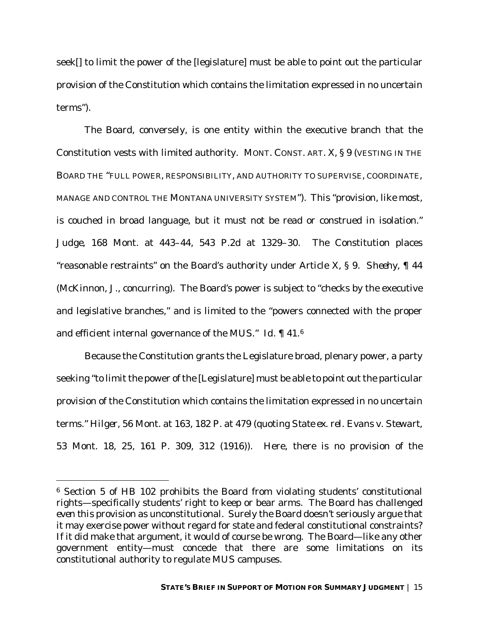seek[] to limit the power of the [legislature] must be able to point out the particular provision of the Constitution which contains the limitation expressed in no uncertain terms").

The Board, conversely, is one entity within the executive branch that the Constitution vests with limited authority. MONT. CONST. ART. X, § 9 (VESTING IN THE BOARD THE "FULL POWER, RESPONSIBILITY, AND AUTHORITY TO SUPERVISE, COORDINATE, MANAGE AND CONTROL THE MONTANA UNIVERSITY SYSTEM"). This "provision, like most, is couched in broad language, but it must not be read or construed in isolation." *Judge*, 168 Mont. at 443–44, 543 P.2d at 1329–30. The Constitution places "reasonable restraints" on the Board's authority under Article X, § 9. *Sheehy*, ¶ 44 (McKinnon, J., concurring). The Board's power is subject to "checks by the executive and legislative branches," and is limited to the "powers connected with the proper and efficient internal governance of the MUS." *Id.* ¶ 41.6

Because the Constitution grants the Legislature broad, plenary power, a party seeking "to limit the power of the [Legislature] must be able to point out the particular provision of the Constitution which contains the limitation expressed in no uncertain terms." *Hilger*, 56 Mont. at 163, 182 P. at 479 (quoting *State ex. rel. Evans v. Stewart*, 53 Mont. 18, 25, 161 P. 309, 312 (1916)). Here, there is no provision of the

<sup>6</sup> Section 5 of HB 102 prohibits the Board from violating students' constitutional rights—specifically students' right to keep or bear arms. The Board has challenged *even this* provision as unconstitutional. Surely the Board doesn't seriously argue that it may exercise power without regard for state and federal constitutional constraints? If it did make that argument, it would of course be wrong. The Board—like any other government entity—must concede that there are *some* limitations on its constitutional authority to regulate MUS campuses.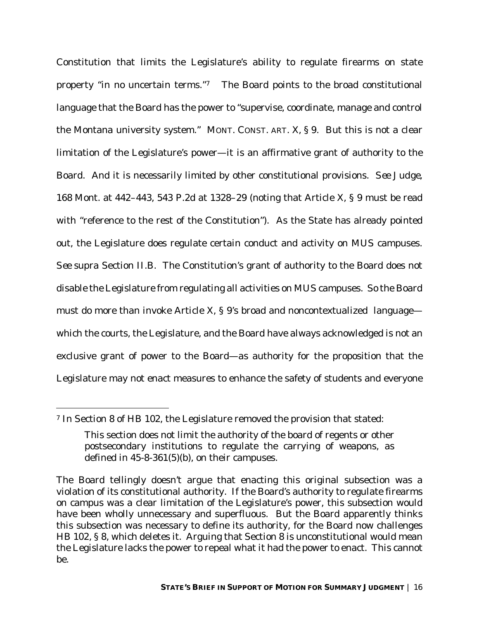Constitution that limits the Legislature's ability to regulate firearms on state property "in no uncertain terms."7 The Board points to the broad constitutional language that the Board has the power to "supervise, coordinate, manage and control the Montana university system." MONT. CONST. ART. X, § 9. But this is not a clear limitation of the Legislature's power—it is an affirmative grant of authority to the Board. And it is necessarily limited by other constitutional provisions. *See Judge*, 168 Mont. at 442–443, 543 P.2d at 1328–29 (noting that Article X, § 9 must be read with "reference to the rest of the Constitution")*.* As the State has already pointed out, the Legislature does regulate certain conduct and activity on MUS campuses. *See supra* Section II.B. The Constitution's grant of authority to the Board does not disable the Legislature from regulating all activities on MUS campuses. So the Board must do more than invoke Article X,  $\S$  9's broad and noncontextualized language which the courts, the Legislature, and the Board have always acknowledged is not an exclusive grant of power to the Board—as authority for the proposition that the Legislature may not enact measures to enhance the safety of students and everyone

<sup>7</sup> In Section 8 of HB 102, the Legislature removed the provision that stated:

This section does not limit the authority of the board of regents or other postsecondary institutions to regulate the carrying of weapons, as defined in 45-8-361(5)(b), on their campuses.

The Board tellingly doesn't argue that enacting this original subsection was a violation of its constitutional authority. If the Board's authority to regulate firearms on campus was a clear limitation of the Legislature's power, this subsection would have been wholly unnecessary and superfluous. But the Board apparently thinks this subsection was necessary to define its authority, for the Board now challenges HB 102, § 8, which deletes it. Arguing that Section 8 is unconstitutional would mean the Legislature lacks the power to repeal what it had the power to enact. This cannot be.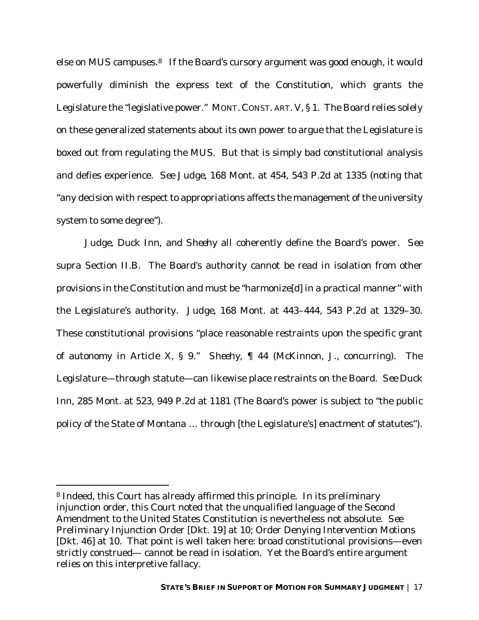else on MUS campuses.<sup>8</sup> If the Board's cursory argument was good enough, it would powerfully diminish the express text of the Constitution, which grants the Legislature the "legislative power." MONT. CONST. ART. V, § 1. The Board relies solely on these generalized statements about its own power to argue that the Legislature is boxed out from regulating the MUS. But that is simply bad constitutional analysis and defies experience. *See Judge*, 168 Mont. at 454, 543 P.2d at 1335 (noting that "any decision with respect to appropriations affects the management of the university system to some degree").

*Judge*, *Duck Inn*, and *Sheehy* all coherently define the Board's power. *See supra* Section II.B. The Board's authority cannot be read in isolation from other provisions in the Constitution and must be "harmonize[d] in a practical manner" with the Legislature's authority. *Judge*, 168 Mont. at 443–444, 543 P.2d at 1329–30. These constitutional provisions "place reasonable restraints upon the specific grant of autonomy in Article X, § 9." *Sheehy*, ¶ 44 (McKinnon, J., concurring). The Legislature—through statute—can likewise place restraints on the Board. *See Duck Inn*, 285 Mont. at 523, 949 P.2d at 1181 (The Board's power is subject to "the public policy of the State of Montana … through [the Legislature's] enactment of statutes").

<sup>8</sup> Indeed, this Court has already affirmed this principle. In its preliminary injunction order, this Court noted that the unqualified language of the Second Amendment to the United States Constitution is nevertheless not absolute. *See*  Preliminary Injunction Order [Dkt. 19] at 10; Order Denying Intervention Motions [Dkt. 46] at 10. That point is well taken here: broad constitutional provisions—even strictly construed— cannot be read in isolation. Yet the Board's entire argument relies on this interpretive fallacy.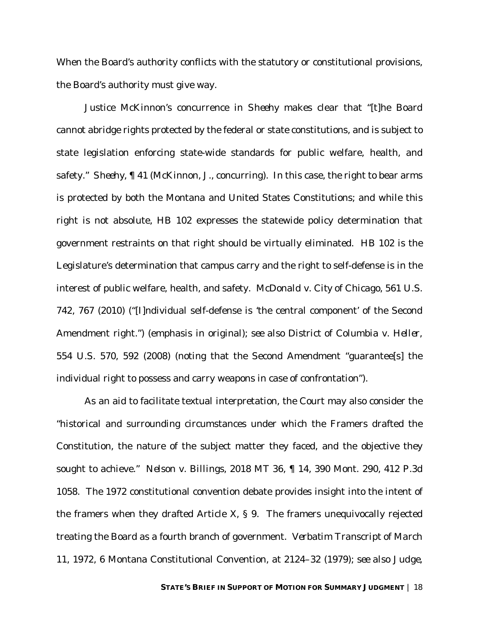When the Board's authority conflicts with the statutory or constitutional provisions, the Board's authority must give way.

Justice McKinnon's concurrence in *Sheehy* makes clear that "[t]he Board cannot abridge rights protected by the federal or state constitutions, and is subject to state legislation enforcing state-wide standards for public welfare, health, and safety." *Sheehy*, ¶ 41 (McKinnon, J., concurring). In this case, the right to bear arms is protected by both the Montana and United States Constitutions; and while this right is not absolute, HB 102 expresses the statewide policy determination that government restraints on that right should be virtually eliminated. HB 102 is the Legislature's determination that campus carry and the right to self-defense is in the interest of public welfare, health, and safety. *McDonald v. City of Chicago*, 561 U.S. 742, 767 (2010) ("[I]ndividual self-defense is 'the central component' of the Second Amendment right.") (emphasis in original); *see also District of Columbia v. Heller*, 554 U.S. 570, 592 (2008) (noting that the Second Amendment "guarantee[s] the individual right to possess and carry weapons in case of confrontation").

As an aid to facilitate textual interpretation, the Court may also consider the "historical and surrounding circumstances under which the Framers drafted the Constitution, the nature of the subject matter they faced, and the objective they sought to achieve." *Nelson v. Billings*, 2018 MT 36, ¶ 14, 390 Mont. 290, 412 P.3d 1058. The 1972 constitutional convention debate provides insight into the intent of the framers when they drafted Article X, § 9. The framers unequivocally rejected treating the Board as a fourth branch of government. *Verbatim Transcript of March 11, 1972*, 6 Montana Constitutional Convention, at 2124–32 (1979); *see also Judge*,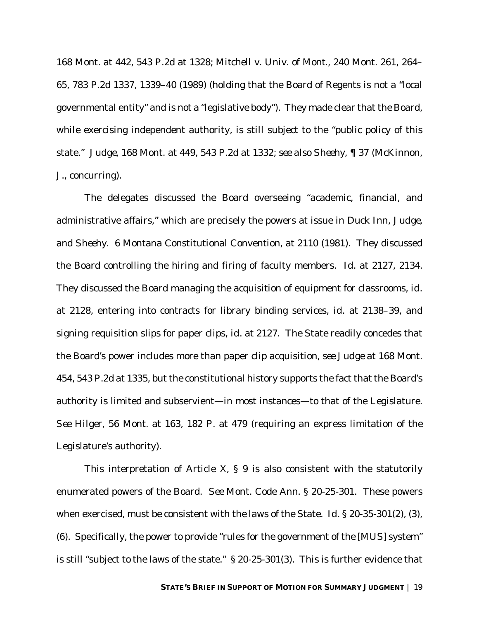168 Mont. at 442, 543 P.2d at 1328; *Mitchell v. Univ. of Mont.*, 240 Mont. 261, 264– 65, 783 P.2d 1337, 1339–40 (1989) (holding that the Board of Regents is not a "local governmental entity" and is not a "legislative body"). They made clear that the Board, while exercising independent authority, is still subject to the "public policy of this state." *Judge*, 168 Mont. at 449, 543 P.2d at 1332; *see also Sheehy*, ¶ 37 (McKinnon, J., concurring).

The delegates discussed the Board overseeing "academic, financial, and administrative affairs," which are precisely the powers at issue in *Duck Inn*, *Judge*, and *Sheehy*. 6 Montana Constitutional Convention, at 2110 (1981). They discussed the Board controlling the hiring and firing of faculty members. *Id.* at 2127, 2134. They discussed the Board managing the acquisition of equipment for classrooms, *id.* at 2128, entering into contracts for library binding services, *id.* at 2138–39, and signing requisition slips for paper clips, *id.* at 2127. The State readily concedes that the Board's power includes more than paper clip acquisition, *see Judge* at 168 Mont. 454, 543 P.2d at 1335, but the constitutional history supports the fact that the Board's authority is limited and subservient—in most instances—to that of the Legislature. *See Hilger*, 56 Mont. at 163, 182 P. at 479 (requiring an express limitation of the Legislature's authority).

This interpretation of Article X,  $\S$  9 is also consistent with the statutorily enumerated powers of the Board. *See* Mont. Code Ann. § 20-25-301. These powers when exercised, must be consistent with the laws of the State. *Id.* § 20-35-301(2), (3), (6). Specifically, the power to provide "rules for the government of the [MUS] system" is still "subject to the laws of the state." § 20-25-301(3). This is further evidence that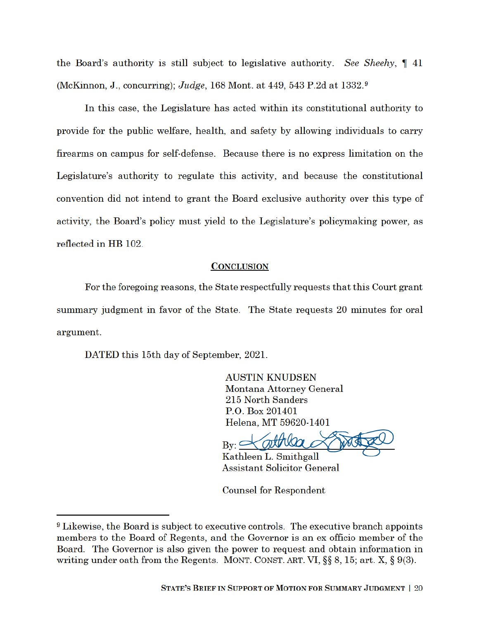the Board's authority is still subject to legislative authority. See Sheehy,  $\P$  41 (McKinnon, J., concurring); Judge, 168 Mont. at 449, 543 P.2d at  $1332.9$ 

In this case, the Legislature has acted within its constitutional authority to provide for the public welfare, health, and safety by allowing individuals to carry firearms on campus for self-defense. Because there is no express limitation on the Legislature's authority to regulate this activity, and because the constitutional convention did not intend to grant the Board exclusive authority over this type of activity, the Board's policy must yield to the Legislature's policymaking power, as reflected in HB 102.

#### **CONCLUSION**

For the foregoing reasons, the State respectfully requests that this Court grant summary judgment in favor of the State. The State requests 20 minutes for oral argument.

DATED this 15th day of September, 2021.

**AUSTIN KNUDSEN** Montana Attorney General 215 North Sanders P.O. Box 201401 Helena. MT 59620-1401

 $Bv: \subset$ 

Kathleen L. Smithgall **Assistant Solicitor General** 

Counsel for Respondent

<sup>&</sup>lt;sup>9</sup> Likewise, the Board is subject to executive controls. The executive branch appoints members to the Board of Regents, and the Governor is an ex officio member of the Board. The Governor is also given the power to request and obtain information in writing under oath from the Regents. MONT. CONST. ART. VI,  $\S\S 8$ , 15; art. X,  $\S 9(3)$ .